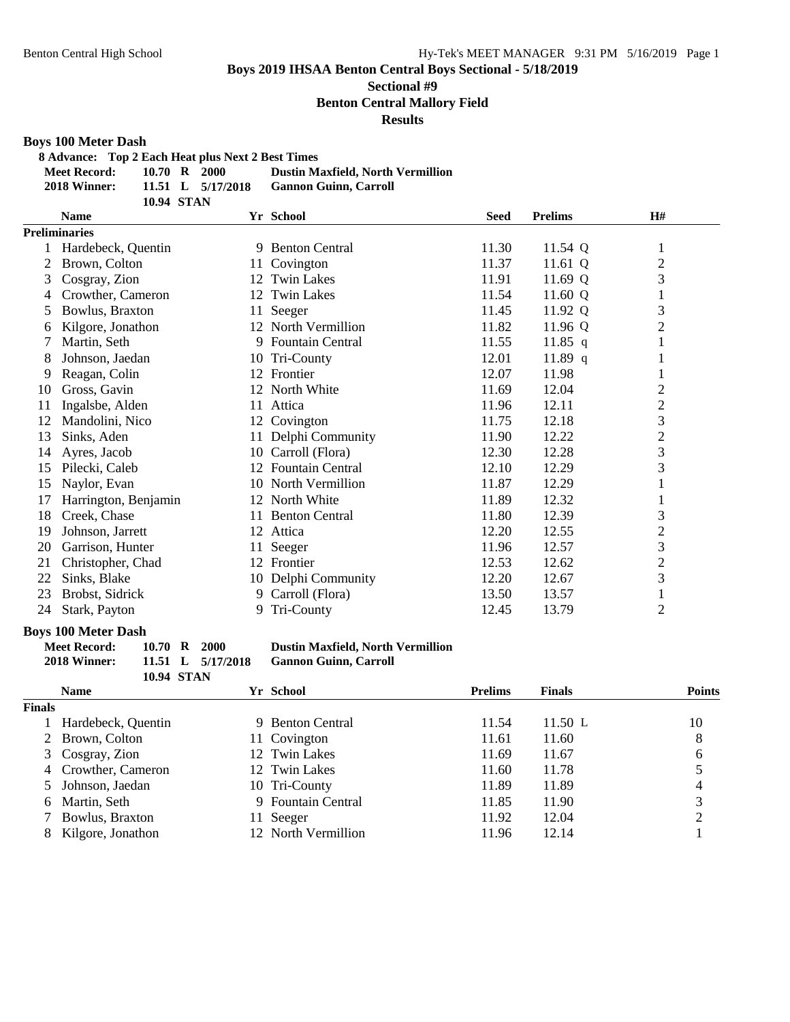# **Sectional #9**

**Benton Central Mallory Field**

#### **Results**

#### **Boys 100 Meter Dash**

**8 Advance: Top 2 Each Heat plus Next 2 Best Times**

| <b>Meet Record:</b> |            | 10.70 R 2000        | <b>Dustin Maxfield, North Vermillion</b> |
|---------------------|------------|---------------------|------------------------------------------|
| 2018 Winner:        |            | 11.51 L $5/17/2018$ | <b>Gannon Guinn, Carroll</b>             |
|                     | 10.94 STAN |                     |                                          |

|    | <b>Name</b><br>Yr School |    |                       | <b>Seed</b> | <b>Prelims</b> | H#             |  |
|----|--------------------------|----|-----------------------|-------------|----------------|----------------|--|
|    | <b>Preliminaries</b>     |    |                       |             |                |                |  |
|    | Hardebeck, Quentin       |    | 9 Benton Central      | 11.30       | 11.54 Q        | 1              |  |
| 2  | Brown, Colton            |    | 11 Covington          | 11.37       | 11.61 Q        | $\overline{c}$ |  |
| 3  | Cosgray, Zion            | 12 | <b>Twin Lakes</b>     | 11.91       | 11.69 Q        | 3              |  |
| 4  | Crowther, Cameron        | 12 | <b>Twin Lakes</b>     | 11.54       | 11.60 Q        | $\mathbf{1}$   |  |
| 5  | Bowlus, Braxton          | 11 | Seeger                | 11.45       | 11.92 Q        | 3              |  |
| 6  | Kilgore, Jonathon        |    | 12 North Vermillion   | 11.82       | 11.96 $Q$      | $\overline{c}$ |  |
|    | Martin, Seth             | 9. | Fountain Central      | 11.55       | 11.85 q        | 1              |  |
| 8  | Johnson, Jaedan          | 10 | Tri-County            | 12.01       | 11.89 q        |                |  |
| 9  | Reagan, Colin            | 12 | Frontier              | 12.07       | 11.98          | 1              |  |
| 10 | Gross, Gavin             |    | 12 North White        | 11.69       | 12.04          | $\overline{c}$ |  |
| 11 | Ingalsbe, Alden          | 11 | Attica                | 11.96       | 12.11          | $\overline{c}$ |  |
| 12 | Mandolini, Nico          | 12 | Covington             | 11.75       | 12.18          | 3              |  |
| 13 | Sinks, Aden              |    | 11 Delphi Community   | 11.90       | 12.22          | $\overline{c}$ |  |
| 14 | Ayres, Jacob             | 10 | Carroll (Flora)       | 12.30       | 12.28          | 3              |  |
| 15 | Pilecki, Caleb           |    | 12 Fountain Central   | 12.10       | 12.29          | 3              |  |
| 15 | Naylor, Evan             |    | 10 North Vermillion   | 11.87       | 12.29          |                |  |
| 17 | Harrington, Benjamin     |    | 12 North White        | 11.89       | 12.32          | 1              |  |
| 18 | Creek, Chase             | 11 | <b>Benton Central</b> | 11.80       | 12.39          | $\mathfrak{Z}$ |  |
| 19 | Johnson, Jarrett         |    | 12 Attica             | 12.20       | 12.55          | $\overline{c}$ |  |
| 20 | Garrison, Hunter         | 11 | Seeger                | 11.96       | 12.57          | 3              |  |
| 21 | Christopher, Chad        |    | 12 Frontier           | 12.53       | 12.62          | $\overline{2}$ |  |
| 22 | Sinks, Blake             |    | 10 Delphi Community   | 12.20       | 12.67          | 3              |  |
| 23 | Brobst, Sidrick          | 9. | Carroll (Flora)       | 13.50       | 13.57          | $\mathbf{1}$   |  |
| 24 | Stark, Payton            | 9. | Tri-County            | 12.45       | 13.79          | $\overline{c}$ |  |

**Boys 100 Meter Dash<br>Meet Record:** 10.70 R 2000 **Meet Record: 10.70 R 2000 Dustin Maxfield, North Vermillion**

**10.94 STAN**

**2018 Winner: 11.51 L 5/17/2018 Gannon Guinn, Carroll**

|        | <b>Name</b>         | Yr School           | <b>Prelims</b> | <b>Finals</b> | <b>Points</b> |
|--------|---------------------|---------------------|----------------|---------------|---------------|
| Finals |                     |                     |                |               |               |
|        | Hardebeck, Quentin  | 9 Benton Central    | 11.54          | 11.50 L       | 10            |
|        | 2 Brown, Colton     | 11 Covington        | 11.61          | 11.60         | 8             |
|        | 3 Cosgray, Zion     | 12 Twin Lakes       | 11.69          | 11.67         | 6             |
|        | 4 Crowther, Cameron | 12 Twin Lakes       | 11.60          | 11.78         |               |
|        | Johnson, Jaedan     | 10 Tri-County       | 11.89          | 11.89         |               |
| 6      | Martin, Seth        | 9 Fountain Central  | 11.85          | 11.90         |               |
|        | Bowlus, Braxton     | Seeger              | 11.92          | 12.04         | ∍             |
| 8      | Kilgore, Jonathon   | 12 North Vermillion | 11.96          | 12.14         |               |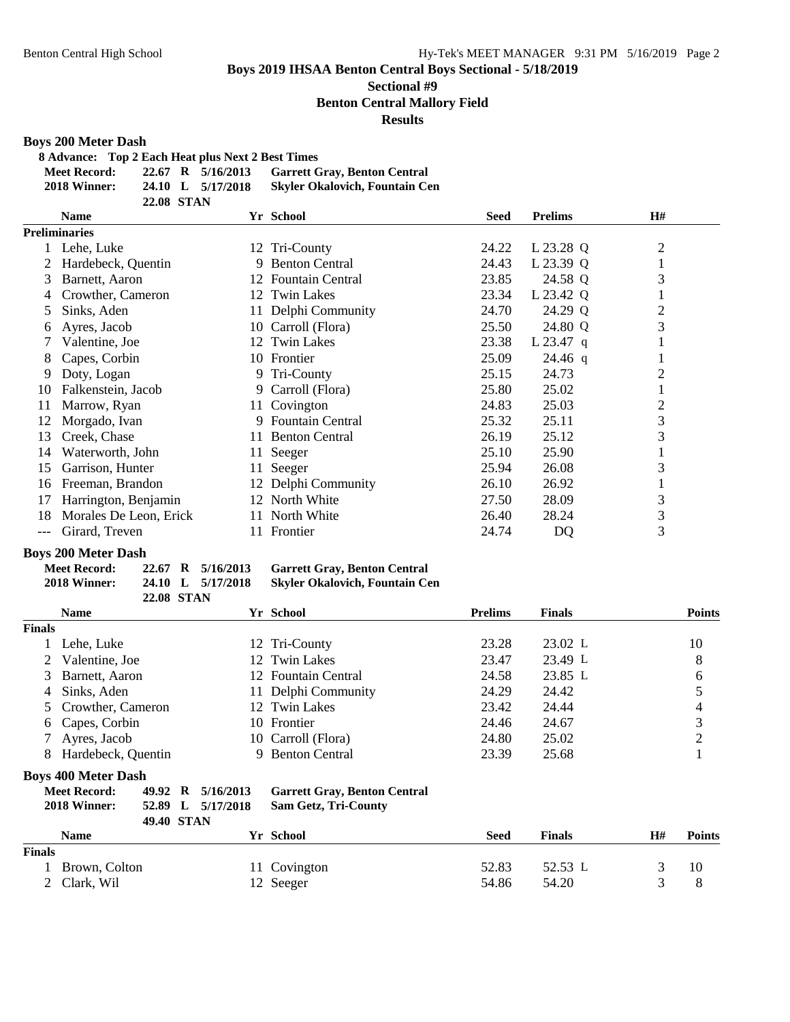# **Sectional #9**

**Benton Central Mallory Field**

#### **Results**

#### **Boys 200 Meter Dash**

**8 Advance: Top 2 Each Heat plus Next 2 Best Times**

| <b>Meet Record:</b> |                   | 22.67 R 5/16/2013 | <b>Garrett Gray, Benton Central</b>   |
|---------------------|-------------------|-------------------|---------------------------------------|
| 2018 Winner:        |                   | 24.10 L 5/17/2018 | <b>Skyler Okalovich, Fountain Cen</b> |
|                     | <b>22.08 STAN</b> |                   |                                       |

|       | Yr School<br><b>Name</b> |     | <b>Seed</b>           | <b>Prelims</b> | H#          |                |
|-------|--------------------------|-----|-----------------------|----------------|-------------|----------------|
|       | <b>Preliminaries</b>     |     |                       |                |             |                |
|       | Lehe, Luke               | 12  | Tri-County            | 24.22          | L 23.28 Q   | $\overline{2}$ |
|       | Hardebeck, Quentin       | 9   | <b>Benton Central</b> | 24.43          | L 23.39 Q   |                |
| 3     | Barnett, Aaron           |     | 12 Fountain Central   | 23.85          | 24.58 Q     | 3              |
| 4     | Crowther, Cameron        |     | 12 Twin Lakes         | 23.34          | L 23.42 Q   |                |
| 5.    | Sinks, Aden              | 11- | Delphi Community      | 24.70          | 24.29 Q     | $\overline{2}$ |
| 6     | Ayres, Jacob             | 10- | Carroll (Flora)       | 25.50          | 24.80 Q     | 3              |
|       | Valentine, Joe           |     | 12 Twin Lakes         | 23.38          | $L$ 23.47 q |                |
| 8     | Capes, Corbin            |     | 10 Frontier           | 25.09          | $24.46$ q   |                |
| 9.    | Doty, Logan              |     | 9 Tri-County          | 25.15          | 24.73       | $\overline{2}$ |
| 10    | Falkenstein, Jacob       |     | 9 Carroll (Flora)     | 25.80          | 25.02       |                |
| 11    | Marrow, Ryan             | 11  | Covington             | 24.83          | 25.03       | $\overline{2}$ |
| 12    | Morgado, Ivan            | 9.  | Fountain Central      | 25.32          | 25.11       | 3              |
| 13    | Creek, Chase             | 11- | <b>Benton Central</b> | 26.19          | 25.12       | 3              |
| 14    | Waterworth, John         | 11- | Seeger                | 25.10          | 25.90       |                |
| 15    | Garrison, Hunter         | 11- | Seeger                | 25.94          | 26.08       | 3              |
| 16    | Freeman, Brandon         |     | 12 Delphi Community   | 26.10          | 26.92       |                |
| 17    | Harrington, Benjamin     | 12  | North White           | 27.50          | 28.09       | 3              |
| 18    | Morales De Leon, Erick   | 11. | North White           | 26.40          | 28.24       | 3              |
| $---$ | Girard, Treven           |     | Frontier              | 24.74          | <b>DQ</b>   | 3              |

#### **Boys 200 Meter Dash**

| Meet Record: |                   | 22.67 R 5/16/2013 | <b>Garrett Gray, Benton Central</b>   |
|--------------|-------------------|-------------------|---------------------------------------|
| 2018 Winner: |                   | 24.10 L 5/17/2018 | <b>Skyler Okalovich, Fountain Cen</b> |
|              | <b>22.08 STAN</b> |                   |                                       |

|                | <b>Name</b>                | Yr School           | <b>Prelims</b> | <b>Finals</b> | <b>Points</b> |
|----------------|----------------------------|---------------------|----------------|---------------|---------------|
| <b>Finals</b>  |                            |                     |                |               |               |
|                | Lehe, Luke                 | 12 Tri-County       | 23.28          | 23.02 L       | 10            |
| $\mathbf{2}^-$ | Valentine, Joe             | 12 Twin Lakes       | 23.47          | 23.49 L       | 8             |
|                | 3 Barnett, Aaron           | 12 Fountain Central | 24.58          | 23.85 L       | 6             |
| 4              | Sinks, Aden                | 11 Delphi Community | 24.29          | 24.42         |               |
|                | 5 Crowther, Cameron        | 12 Twin Lakes       | 23.42          | 24.44         | 4             |
|                | 6 Capes, Corbin            | 10 Frontier         | 24.46          | 24.67         | 3             |
|                | 7 Ayres, Jacob             | 10 Carroll (Flora)  | 24.80          | 25.02         | ◠             |
| 8              | Hardebeck, Quentin         | 9 Benton Central    | 23.39          | 25.68         |               |
|                | <b>Boys 400 Meter Dash</b> |                     |                |               |               |

| <b>Meet Record:</b> |  | 49.92 R 5/16/2013 | <b>Garrett Gray, Benton Central</b> |
|---------------------|--|-------------------|-------------------------------------|
| 2018 Winner:        |  | 52.89 L 5/17/2018 | <b>Sam Getz, Tri-County</b>         |

| <b>49.40 STAN</b> |               |                  |       |               |    |               |
|-------------------|---------------|------------------|-------|---------------|----|---------------|
|                   | <b>Name</b>   | <b>Yr School</b> | Seed  | <b>Finals</b> | H# | <b>Points</b> |
| <b>Finals</b>     |               |                  |       |               |    |               |
|                   | Brown, Colton | 11 Covington     | 52.83 | 52.53 L       |    | 10            |
|                   | 2 Clark, Wil  | 12 Seeger        | 54.86 | 54.20         |    | 8             |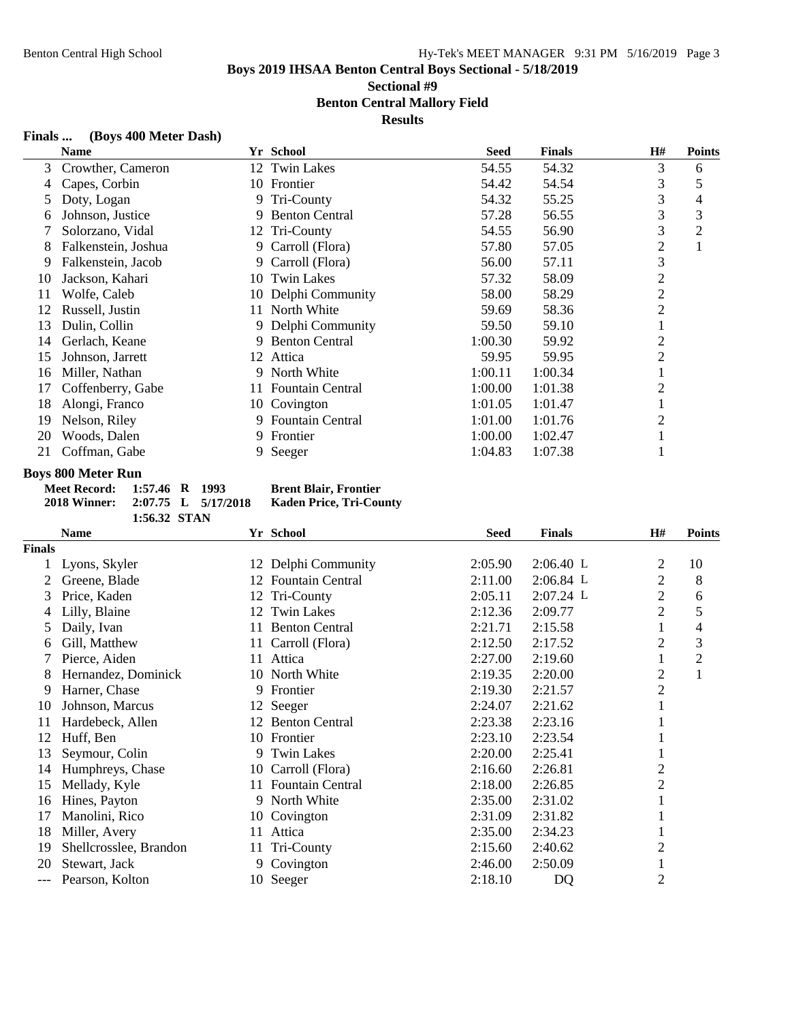**Sectional #9**

**Benton Central Mallory Field**

**Results**

### **Finals ... (Boys 400 Meter Dash)**

|    | <b>Name</b>         |     | Yr School               | <b>Seed</b> | <b>Finals</b> | Н#             | <b>Points</b> |
|----|---------------------|-----|-------------------------|-------------|---------------|----------------|---------------|
| 3  | Crowther, Cameron   |     | 12 Twin Lakes           | 54.55       | 54.32         | 3              | 6             |
| 4  | Capes, Corbin       |     | 10 Frontier             | 54.42       | 54.54         | 3              | 5             |
| 5  | Doty, Logan         |     | 9 Tri-County            | 54.32       | 55.25         | 3              | 4             |
| 6  | Johnson, Justice    | 9   | <b>Benton Central</b>   | 57.28       | 56.55         | 3              | 3             |
|    | Solorzano, Vidal    |     | 12 Tri-County           | 54.55       | 56.90         | 3              | 2             |
| 8  | Falkenstein, Joshua | 9.  | Carroll (Flora)         | 57.80       | 57.05         | $\overline{2}$ |               |
| 9  | Falkenstein, Jacob  |     | 9 Carroll (Flora)       | 56.00       | 57.11         | 3              |               |
| 10 | Jackson, Kahari     |     | 10 Twin Lakes           | 57.32       | 58.09         | $\overline{2}$ |               |
| 11 | Wolfe, Caleb        |     | 10 Delphi Community     | 58.00       | 58.29         | 2              |               |
| 12 | Russell, Justin     |     | 11 North White          | 59.69       | 58.36         | $\overline{2}$ |               |
| 13 | Dulin, Collin       |     | 9 Delphi Community      | 59.50       | 59.10         |                |               |
| 14 | Gerlach, Keane      | 9   | <b>Benton Central</b>   | 1:00.30     | 59.92         | 2              |               |
| 15 | Johnson, Jarrett    | 12  | Attica                  | 59.95       | 59.95         | 2              |               |
| 16 | Miller, Nathan      | 9.  | North White             | 1:00.11     | 1:00.34       |                |               |
| 17 | Coffenberry, Gabe   | 11. | Fountain Central        | 1:00.00     | 1:01.38       | $\overline{2}$ |               |
| 18 | Alongi, Franco      |     | 10 Covington            | 1:01.05     | 1:01.47       |                |               |
| 19 | Nelson, Riley       | 9.  | <b>Fountain Central</b> | 1:01.00     | 1:01.76       | 2              |               |
| 20 | Woods, Dalen        | 9.  | Frontier                | 1:00.00     | 1:02.47       |                |               |
| 21 | Coffman, Gabe       |     | 9 Seeger                | 1:04.83     | 1:07.38       |                |               |

#### **Boys 800 Meter Run**

| Meet Record: 1:57.46 R 1993      |              |  | <b>Brent Blair, Frontier</b> |
|----------------------------------|--------------|--|------------------------------|
| 2018 Winner: 2:07.75 L 5/17/2018 |              |  | Kaden Price, Tri-Cou         |
|                                  | 1:56.32 STAN |  |                              |

**2018 Winner: 2:07.75 L 5/17/2018 Kaden Price, Tri-County**

|               | <b>Name</b>            | Yr School                     |         | <b>Finals</b> | H#             | <b>Points</b> |
|---------------|------------------------|-------------------------------|---------|---------------|----------------|---------------|
| <b>Finals</b> |                        |                               |         |               |                |               |
|               | Lyons, Skyler          | 12 Delphi Community           | 2:05.90 | $2:06.40$ L   | 2              | 10            |
|               | Greene, Blade          | <b>Fountain Central</b><br>12 | 2:11.00 | $2:06.84$ L   | 2              | 8             |
| 3             | Price, Kaden           | 12 Tri-County                 | 2:05.11 | 2:07.24 L     | $\overline{c}$ | 6             |
| 4             | Lilly, Blaine          | Twin Lakes<br>12              | 2:12.36 | 2:09.77       | 2              | $\mathfrak s$ |
| 5             | Daily, Ivan            | <b>Benton Central</b><br>11.  | 2:21.71 | 2:15.58       |                | 4             |
| 6             | Gill, Matthew          | 11 Carroll (Flora)            | 2:12.50 | 2:17.52       | $\overline{2}$ | 3             |
|               | Pierce, Aiden          | 11 Attica                     | 2:27.00 | 2:19.60       |                | 2             |
| 8             | Hernandez, Dominick    | 10 North White                | 2:19.35 | 2:20.00       | $\overline{c}$ | 1             |
| 9             | Harner, Chase          | 9 Frontier                    | 2:19.30 | 2:21.57       | $\overline{2}$ |               |
| 10            | Johnson, Marcus        | 12 Seeger                     | 2:24.07 | 2:21.62       |                |               |
| 11            | Hardebeck, Allen       | 12 Benton Central             | 2:23.38 | 2:23.16       |                |               |
| 12            | Huff, Ben              | 10 Frontier                   | 2:23.10 | 2:23.54       |                |               |
| 13            | Seymour, Colin         | 9 Twin Lakes                  | 2:20.00 | 2:25.41       |                |               |
| 14            | Humphreys, Chase       | 10 Carroll (Flora)            | 2:16.60 | 2:26.81       | $\overline{c}$ |               |
| 15            | Mellady, Kyle          | 11 Fountain Central           | 2:18.00 | 2:26.85       | $\overline{c}$ |               |
| 16            | Hines, Payton          | 9 North White                 | 2:35.00 | 2:31.02       |                |               |
| 17            | Manolini, Rico         | 10 Covington                  | 2:31.09 | 2:31.82       |                |               |
| 18            | Miller, Avery          | Attica<br>11                  | 2:35.00 | 2:34.23       |                |               |
| 19            | Shellcrosslee, Brandon | Tri-County<br>11              | 2:15.60 | 2:40.62       | 2              |               |
| 20            | Stewart, Jack          | 9 Covington                   | 2:46.00 | 2:50.09       |                |               |
| ---           | Pearson, Kolton        | 10 Seeger                     | 2:18.10 | <b>DQ</b>     | $\overline{2}$ |               |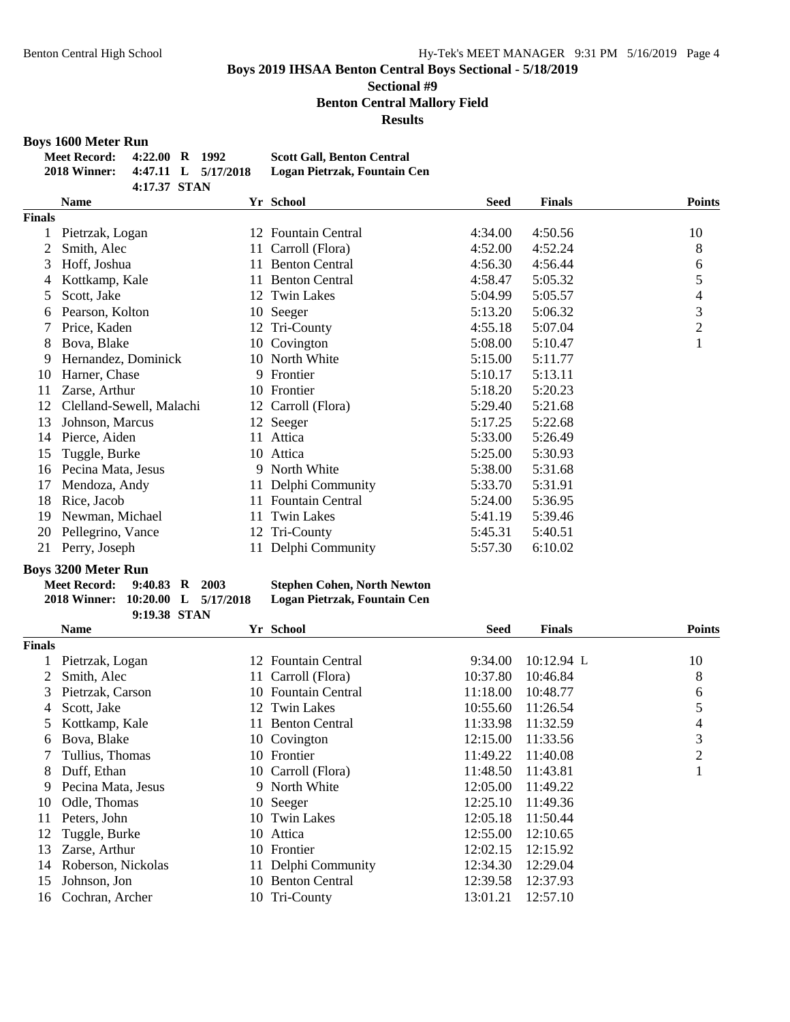# **Sectional #9**

**Benton Central Mallory Field**

**Results**

#### **Boys 1600 Meter Run**

| <b>Meet Record:</b>              | 4:22.00 R 1992 |  | <b>Scott Gall, Benton Central</b> |
|----------------------------------|----------------|--|-----------------------------------|
| 2018 Winner: 4:47.11 L 5/17/2018 |                |  | Logan Pietrzak, Fountain Cen      |
|                                  | 4:17.37 STAN   |  |                                   |

|        | <b>Name</b>              |     | Yr School               | <b>Seed</b> | <b>Finals</b> | <b>Points</b>  |
|--------|--------------------------|-----|-------------------------|-------------|---------------|----------------|
| Finals |                          |     |                         |             |               |                |
|        | Pietrzak, Logan          | 12  | <b>Fountain Central</b> | 4:34.00     | 4:50.56       | 10             |
| 2      | Smith, Alec              | 11- | Carroll (Flora)         | 4:52.00     | 4:52.24       | 8              |
| 3      | Hoff, Joshua             | 11  | <b>Benton Central</b>   | 4:56.30     | 4:56.44       | 6              |
| 4      | Kottkamp, Kale           | 11  | <b>Benton Central</b>   | 4:58.47     | 5:05.32       | 5              |
| 5      | Scott, Jake              |     | 12 Twin Lakes           | 5:04.99     | 5:05.57       | 4              |
| 6      | Pearson, Kolton          |     | 10 Seeger               | 5:13.20     | 5:06.32       | 3              |
|        | Price, Kaden             |     | 12 Tri-County           | 4:55.18     | 5:07.04       | $\overline{2}$ |
| 8      | Bova, Blake              | 10  | Covington               | 5:08.00     | 5:10.47       | 1              |
| 9      | Hernandez, Dominick      |     | 10 North White          | 5:15.00     | 5:11.77       |                |
| 10     | Harner, Chase            | 9   | Frontier                | 5:10.17     | 5:13.11       |                |
| 11     | Zarse, Arthur            | 10  | Frontier                | 5:18.20     | 5:20.23       |                |
| 12     | Clelland-Sewell, Malachi |     | 12 Carroll (Flora)      | 5:29.40     | 5:21.68       |                |
| 13     | Johnson, Marcus          |     | 12 Seeger               | 5:17.25     | 5:22.68       |                |
| 14     | Pierce, Aiden            | 11  | Attica                  | 5:33.00     | 5:26.49       |                |
| 15     | Tuggle, Burke            |     | 10 Attica               | 5:25.00     | 5:30.93       |                |
| 16     | Pecina Mata, Jesus       |     | 9 North White           | 5:38.00     | 5:31.68       |                |
| 17     | Mendoza, Andy            | 11  | Delphi Community        | 5:33.70     | 5:31.91       |                |
| 18     | Rice, Jacob              | 11. | <b>Fountain Central</b> | 5:24.00     | 5:36.95       |                |
| 19     | Newman, Michael          |     | 11 Twin Lakes           | 5:41.19     | 5:39.46       |                |
| 20     | Pellegrino, Vance        |     | 12 Tri-County           | 5:45.31     | 5:40.51       |                |
| 21     | Perry, Joseph            | 11- | Delphi Community        | 5:57.30     | 6:10.02       |                |

# **Boys 3200 Meter Run**

| <b>Meet Record:</b>               | $9:40.83$ R $2003$ |  | <b>Stephen Cohen, North Newton</b> |
|-----------------------------------|--------------------|--|------------------------------------|
| 2018 Winner: 10:20.00 L 5/17/2018 |                    |  | Logan Pietrzak, Fountain Cen       |
|                                   | 9:19.38 STAN       |  |                                    |

|               | <b>Name</b>        | Yr School                      | <b>Seed</b> | <b>Finals</b> | <b>Points</b> |
|---------------|--------------------|--------------------------------|-------------|---------------|---------------|
| <b>Finals</b> |                    |                                |             |               |               |
|               | Pietrzak, Logan    | <b>Fountain Central</b><br>12. | 9:34.00     | $10:12.94$ L  | 10            |
|               | Smith, Alec        | 11 Carroll (Flora)             | 10:37.80    | 10:46.84      | 8             |
| 3             | Pietrzak, Carson   | 10 Fountain Central            | 11:18.00    | 10:48.77      | 6             |
| 4             | Scott, Jake        | 12 Twin Lakes                  | 10:55.60    | 11:26.54      | 5             |
|               | Kottkamp, Kale     | <b>Benton Central</b><br>11.   | 11:33.98    | 11:32.59      | 4             |
| 6             | Bova, Blake        | 10 Covington                   | 12:15.00    | 11:33.56      | 3             |
|               | Tullius, Thomas    | 10 Frontier                    | 11:49.22    | 11:40.08      | 2             |
| 8             | Duff, Ethan        | 10 Carroll (Flora)             | 11:48.50    | 11:43.81      |               |
| 9             | Pecina Mata, Jesus | 9 North White                  | 12:05.00    | 11:49.22      |               |
| 10            | Odle, Thomas       | 10 Seeger                      | 12:25.10    | 11:49.36      |               |
| 11            | Peters, John       | 10 Twin Lakes                  | 12:05.18    | 11:50.44      |               |
| 12            | Tuggle, Burke      | 10 Attica                      | 12:55.00    | 12:10.65      |               |
| 13            | Zarse, Arthur      | 10 Frontier                    | 12:02.15    | 12:15.92      |               |
| 14            | Roberson, Nickolas | Delphi Community               | 12:34.30    | 12:29.04      |               |
| 15            | Johnson, Jon       | <b>Benton Central</b><br>10    | 12:39.58    | 12:37.93      |               |
| 16            | Cochran, Archer    | 10 Tri-County                  | 13:01.21    | 12:57.10      |               |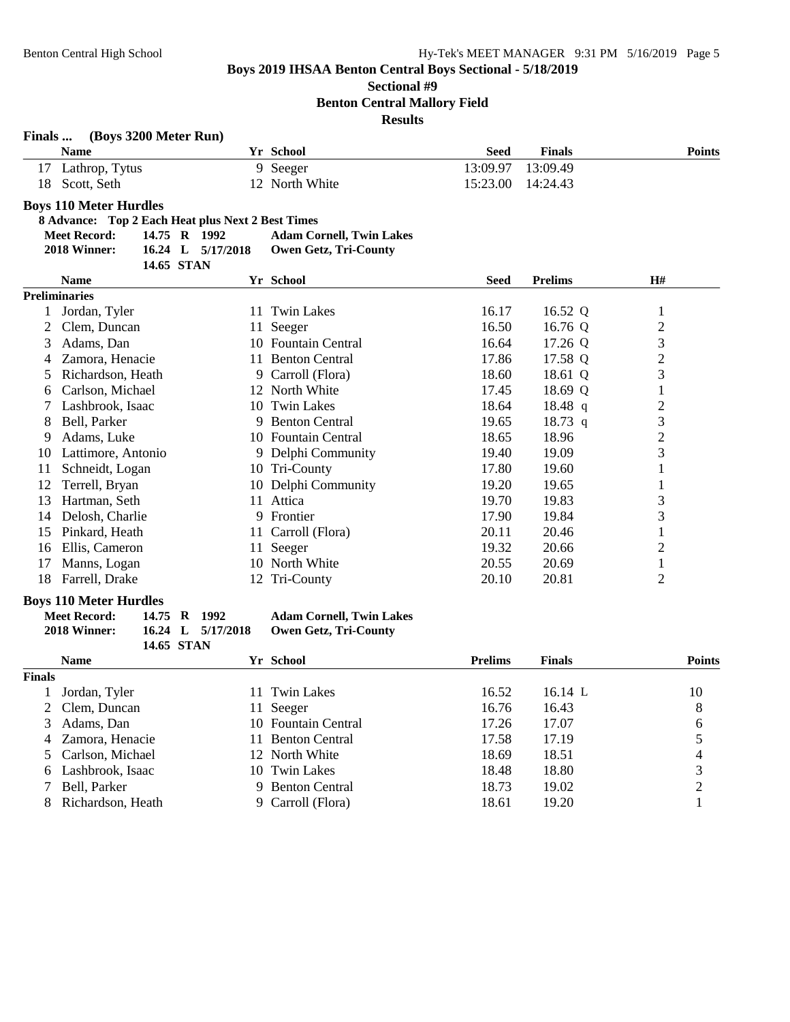**Sectional #9**

**Benton Central Mallory Field**

**Results**

| Finals         | (Boys 3200 Meter Run)                             |                   |                                 |                |                |                |
|----------------|---------------------------------------------------|-------------------|---------------------------------|----------------|----------------|----------------|
|                | <b>Name</b>                                       |                   | Yr School                       | <b>Seed</b>    | <b>Finals</b>  | <b>Points</b>  |
| 17             | Lathrop, Tytus                                    |                   | 9 Seeger                        | 13:09.97       | 13:09.49       |                |
| 18             | Scott, Seth                                       |                   | 12 North White                  | 15:23.00       | 14:24.43       |                |
|                | <b>Boys 110 Meter Hurdles</b>                     |                   |                                 |                |                |                |
|                | 8 Advance: Top 2 Each Heat plus Next 2 Best Times |                   |                                 |                |                |                |
|                | <b>Meet Record:</b>                               | 14.75 R 1992      | <b>Adam Cornell, Twin Lakes</b> |                |                |                |
|                | 2018 Winner:                                      | 16.24 L 5/17/2018 | <b>Owen Getz, Tri-County</b>    |                |                |                |
|                |                                                   | 14.65 STAN        |                                 |                |                |                |
|                | <b>Name</b>                                       |                   | Yr School                       | <b>Seed</b>    | <b>Prelims</b> | H#             |
|                | <b>Preliminaries</b>                              |                   |                                 |                |                |                |
|                | 1 Jordan, Tyler                                   |                   | 11 Twin Lakes                   | 16.17          | 16.52 Q        | 1              |
| 2              | Clem, Duncan                                      |                   | 11 Seeger                       | 16.50          | 16.76 Q        | $\overline{c}$ |
| 3              | Adams, Dan                                        |                   | 10 Fountain Central             | 16.64          | 17.26 Q        | 3              |
| 4              | Zamora, Henacie                                   |                   | 11 Benton Central               | 17.86          | 17.58 Q        | $\overline{c}$ |
| 5              | Richardson, Heath                                 |                   | 9 Carroll (Flora)               | 18.60          | 18.61 Q        | 3              |
| 6              | Carlson, Michael                                  |                   | 12 North White                  | 17.45          | 18.69 Q        | $\mathbf{1}$   |
|                | Lashbrook, Isaac                                  |                   | 10 Twin Lakes                   | 18.64          | $18.48$ q      | $\overline{c}$ |
| 8              | Bell, Parker                                      |                   | 9 Benton Central                | 19.65          | $18.73$ q      | 3              |
| 9              | Adams, Luke                                       |                   | 10 Fountain Central             | 18.65          | 18.96          | $\overline{c}$ |
| 10             | Lattimore, Antonio                                |                   | 9 Delphi Community              | 19.40          | 19.09          | 3              |
| 11             | Schneidt, Logan                                   |                   | 10 Tri-County                   | 17.80          | 19.60          | $\mathbf{1}$   |
| 12             | Terrell, Bryan                                    |                   | 10 Delphi Community             | 19.20          | 19.65          | $\mathbf{1}$   |
| 13             | Hartman, Seth                                     |                   | 11 Attica                       | 19.70          | 19.83          | 3              |
| 14             | Delosh, Charlie                                   |                   | 9 Frontier                      | 17.90          | 19.84          | 3              |
| 15             | Pinkard, Heath                                    |                   | 11 Carroll (Flora)              | 20.11          | 20.46          | $\mathbf{1}$   |
| 16             | Ellis, Cameron                                    |                   | 11 Seeger                       | 19.32          | 20.66          | $\overline{c}$ |
| 17             | Manns, Logan                                      |                   | 10 North White                  | 20.55          | 20.69          | $\mathbf{1}$   |
| 18             | Farrell, Drake                                    |                   | 12 Tri-County                   | 20.10          | 20.81          | 2              |
|                | <b>Boys 110 Meter Hurdles</b>                     |                   |                                 |                |                |                |
|                | <b>Meet Record:</b>                               | 14.75 R 1992      | <b>Adam Cornell, Twin Lakes</b> |                |                |                |
|                | 2018 Winner:                                      | 16.24 L 5/17/2018 | <b>Owen Getz, Tri-County</b>    |                |                |                |
|                |                                                   | 14.65 STAN        |                                 |                |                |                |
|                | <b>Name</b>                                       |                   | Yr School                       | <b>Prelims</b> | <b>Finals</b>  | <b>Points</b>  |
| <b>Finals</b>  |                                                   |                   |                                 |                |                |                |
|                | 1 Jordan, Tyler                                   |                   | 11 Twin Lakes                   | 16.52          | 16.14 L        | 10             |
| $\overline{2}$ | Clem, Duncan                                      |                   | 11 Seeger                       | 16.76          | 16.43          | 8              |
| 3              | Adams, Dan                                        |                   | 10 Fountain Central             | 17.26          | 17.07          | 6              |
| 4              | Zamora, Henacie                                   |                   | 11 Benton Central               | 17.58          | 17.19          | 5              |
| 5              | Carlson, Michael                                  |                   | 12 North White                  | 18.69          | 18.51          | $\overline{4}$ |
| 6              | Lashbrook, Isaac                                  |                   | 10 Twin Lakes                   | 18.48          | 18.80          | 3              |
| 7              | Bell, Parker                                      | 9                 | <b>Benton Central</b>           | 18.73          | 19.02          | $\overline{c}$ |
| 8              | Richardson, Heath                                 |                   | 9 Carroll (Flora)               | 18.61          | 19.20          | $\mathbf{1}$   |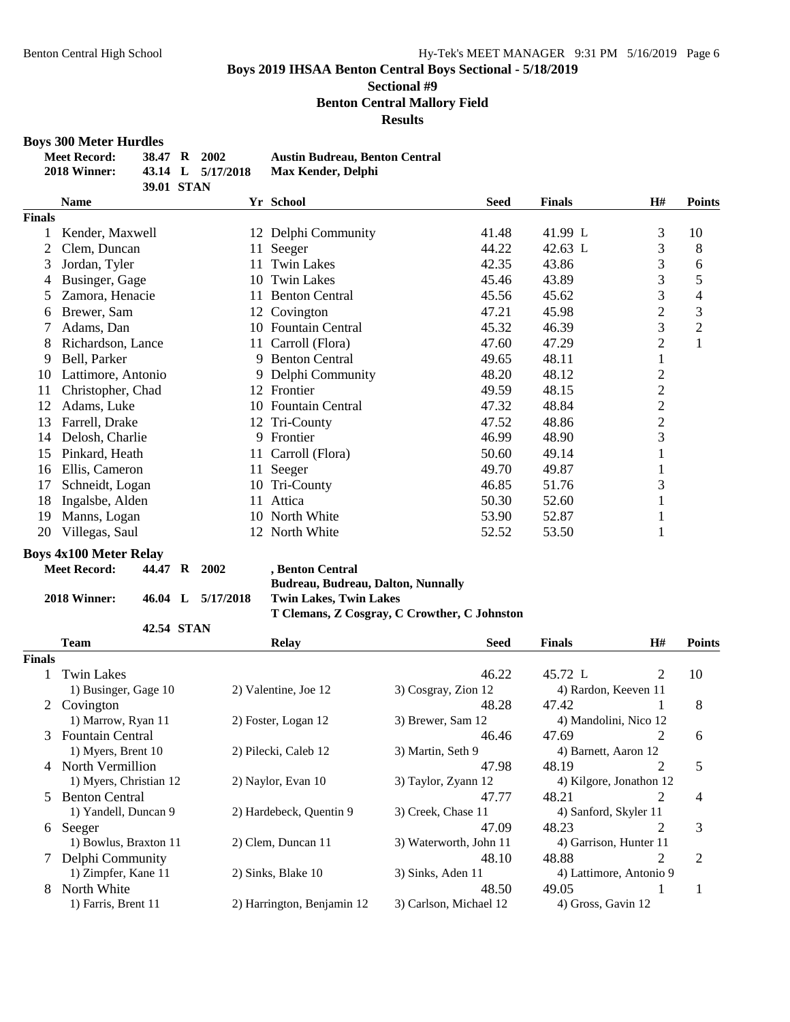## **Sectional #9 Benton Central Mallory Field**

**Results**

# **Boys 300 Meter Hurdles**

| <b>Meet Record:</b> | 38.47 R 2002 |                   | <b>Austin Budreau, Benton Central</b> |
|---------------------|--------------|-------------------|---------------------------------------|
| 2018 Winner:        |              | 43.14 L 5/17/2018 | Max Kender, Delphi                    |
|                     | 39.01 STAN   |                   |                                       |

| <b>Name</b>        | Yr School                     |       | <b>Finals</b> | H#             | <b>Points</b>  |  |
|--------------------|-------------------------------|-------|---------------|----------------|----------------|--|
|                    |                               |       |               |                |                |  |
| Kender, Maxwell    | 12 Delphi Community           | 41.48 | 41.99 L       | 3              | 10             |  |
| Clem, Duncan       | Seeger<br>11                  | 44.22 | 42.63 L       | 3              | 8              |  |
| Jordan, Tyler      | <b>Twin Lakes</b><br>11       | 42.35 | 43.86         | 3              | 6              |  |
| Businger, Gage     | <b>Twin Lakes</b><br>10       | 45.46 | 43.89         | 3              | 5              |  |
| Zamora, Henacie    | <b>Benton Central</b><br>11   | 45.56 | 45.62         | 3              | 4              |  |
| Brewer, Sam        | 12 Covington                  | 47.21 | 45.98         | $\mathfrak{2}$ | 3              |  |
| Adams, Dan         | <b>Fountain Central</b><br>10 | 45.32 | 46.39         | 3              | $\overline{2}$ |  |
| Richardson, Lance  | Carroll (Flora)<br>11-        | 47.60 | 47.29         | $\overline{c}$ | $\mathbf{1}$   |  |
| Bell, Parker       | <b>Benton Central</b><br>9    | 49.65 | 48.11         | T              |                |  |
| Lattimore, Antonio | Delphi Community<br>9.        | 48.20 | 48.12         | 2              |                |  |
| Christopher, Chad  | Frontier<br>12                | 49.59 | 48.15         | $\overline{2}$ |                |  |
| Adams, Luke        | <b>Fountain Central</b><br>10 | 47.32 | 48.84         | $\overline{2}$ |                |  |
| Farrell, Drake     | 12 Tri-County                 | 47.52 | 48.86         | $\overline{c}$ |                |  |
| Delosh, Charlie    | Frontier<br>9.                | 46.99 | 48.90         | 3              |                |  |
| Pinkard, Heath     | Carroll (Flora)<br>11.        | 50.60 | 49.14         |                |                |  |
| Ellis, Cameron     | 11 Seeger                     | 49.70 | 49.87         |                |                |  |
| Schneidt, Logan    | Tri-County<br>10              | 46.85 | 51.76         | 3              |                |  |
| Ingalsbe, Alden    | Attica<br>11                  | 50.30 | 52.60         |                |                |  |
| Manns, Logan       | 10 North White                | 53.90 | 52.87         |                |                |  |
| Villegas, Saul     | 12 North White                | 52.52 | 53.50         |                |                |  |
|                    | <b>Finals</b>                 |       | <b>Seed</b>   |                |                |  |

#### **Boys 4x100 Meter Relay**

| <b>Meet Record:</b> | 44.47 R 2002 |                   | , Benton Central                             |
|---------------------|--------------|-------------------|----------------------------------------------|
|                     |              |                   | Budreau, Budreau, Dalton, Nunnally           |
| 2018 Winner:        |              | 46.04 L 5/17/2018 | <b>Twin Lakes, Twin Lakes</b>                |
|                     |              |                   | T Clemans, Z Cosgray, C Crowther, C Johnston |
|                     | 42.54 STAN   |                   |                                              |

|               | <b>Team</b>             | <b>Relay</b>               |                        | H#<br><b>Finals</b>    |                         | <b>Points</b> |
|---------------|-------------------------|----------------------------|------------------------|------------------------|-------------------------|---------------|
| <b>Finals</b> |                         |                            |                        |                        |                         |               |
|               | <b>Twin Lakes</b>       |                            | 46.22                  | 45.72 L                | 2                       | 10            |
|               | 1) Businger, Gage 10    | 2) Valentine, Joe 12       | 3) Cosgray, Zion 12    | 4) Rardon, Keeven 11   |                         |               |
| 2             | Covington               |                            | 48.28                  | 47.42                  |                         | 8             |
|               | 1) Marrow, Ryan 11      | 2) Foster, Logan 12        | 3) Brewer, Sam 12      | 4) Mandolini, Nico 12  |                         |               |
| 3             | <b>Fountain Central</b> |                            | 46.46                  | 47.69                  | 2                       | 6             |
|               | 1) Myers, Brent 10      | 2) Pilecki, Caleb 12       | 3) Martin, Seth 9      | 4) Barnett, Aaron 12   |                         |               |
|               | North Vermillion        |                            | 47.98                  | 48.19                  | 2                       | 5             |
|               | 1) Myers, Christian 12  | 2) Naylor, Evan 10         | 3) Taylor, Zyann 12    |                        | 4) Kilgore, Jonathon 12 |               |
|               | <b>Benton Central</b>   |                            | 47.77                  | 48.21                  | $\overline{2}$          | 4             |
|               | 1) Yandell, Duncan 9    | 2) Hardebeck, Quentin 9    | 3) Creek, Chase 11     | 4) Sanford, Skyler 11  |                         |               |
| 6             | Seeger                  |                            | 47.09                  | 48.23                  | $\overline{2}$          | 3             |
|               | 1) Bowlus, Braxton 11   | 2) Clem, Duncan 11         | 3) Waterworth, John 11 | 4) Garrison, Hunter 11 |                         |               |
|               | Delphi Community        |                            | 48.10                  | 48.88                  | $\overline{2}$          | 2             |
|               | 1) Zimpfer, Kane 11     | 2) Sinks, Blake 10         | 3) Sinks, Aden 11      |                        | 4) Lattimore, Antonio 9 |               |
| 8             | North White             |                            | 48.50                  | 49.05                  |                         |               |
|               | 1) Farris, Brent 11     | 2) Harrington, Benjamin 12 | 3) Carlson, Michael 12 | 4) Gross, Gavin 12     |                         |               |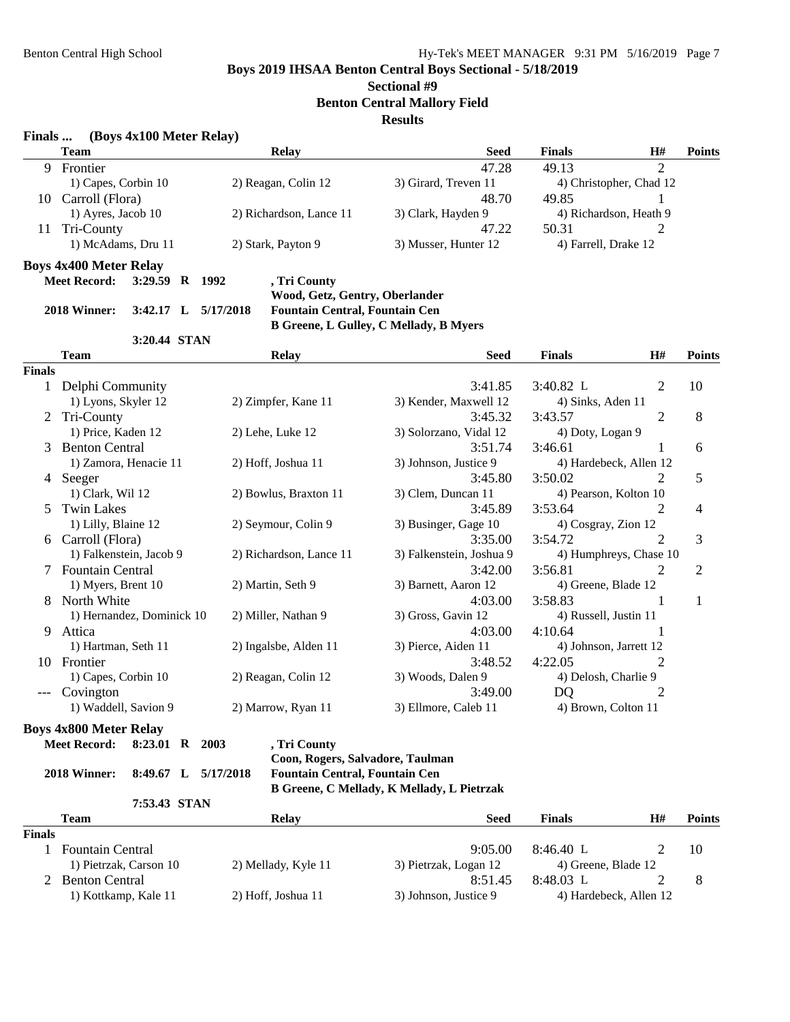# **Sectional #9**

**Benton Central Mallory Field**

**Results**

| Finals        |                               | (Boys 4x100 Meter Relay) |  |                                       |                                               |                        |                         |               |
|---------------|-------------------------------|--------------------------|--|---------------------------------------|-----------------------------------------------|------------------------|-------------------------|---------------|
|               | <b>Team</b>                   |                          |  | <b>Relay</b>                          | <b>Seed</b>                                   | <b>Finals</b>          | H#                      | <b>Points</b> |
|               | 9 Frontier                    |                          |  |                                       | 47.28                                         | 49.13                  | $\overline{2}$          |               |
|               | 1) Capes, Corbin 10           |                          |  | 2) Reagan, Colin 12                   | 3) Girard, Treven 11                          |                        | 4) Christopher, Chad 12 |               |
|               | 10 Carroll (Flora)            |                          |  |                                       | 48.70                                         | 49.85                  | 1                       |               |
|               | 1) Ayres, Jacob 10            |                          |  | 2) Richardson, Lance 11               | 3) Clark, Hayden 9                            |                        | 4) Richardson, Heath 9  |               |
| 11            | Tri-County                    |                          |  |                                       | 47.22                                         | 50.31                  | 2                       |               |
|               | 1) McAdams, Dru 11            |                          |  | 2) Stark, Payton 9                    | 3) Musser, Hunter 12                          | 4) Farrell, Drake 12   |                         |               |
|               | <b>Boys 4x400 Meter Relay</b> |                          |  |                                       |                                               |                        |                         |               |
|               | <b>Meet Record:</b>           | 3:29.59 R 1992           |  | , Tri County                          |                                               |                        |                         |               |
|               |                               |                          |  | Wood, Getz, Gentry, Oberlander        |                                               |                        |                         |               |
|               | 2018 Winner:                  | 3:42.17 L $5/17/2018$    |  | <b>Fountain Central, Fountain Cen</b> |                                               |                        |                         |               |
|               |                               |                          |  |                                       | <b>B Greene, L Gulley, C Mellady, B Myers</b> |                        |                         |               |
|               |                               | 3:20.44 STAN             |  |                                       |                                               |                        |                         |               |
|               | Team                          |                          |  | <b>Relay</b>                          | <b>Seed</b>                                   | <b>Finals</b>          | H#                      | <b>Points</b> |
| <b>Finals</b> |                               |                          |  |                                       |                                               |                        |                         |               |
|               | 1 Delphi Community            |                          |  |                                       | 3:41.85                                       | 3:40.82 L              | 2                       | 10            |
|               | 1) Lyons, Skyler 12           |                          |  | 2) Zimpfer, Kane 11                   | 3) Kender, Maxwell 12                         | 4) Sinks, Aden 11      |                         |               |
| 2             | Tri-County                    |                          |  |                                       | 3:45.32                                       | 3:43.57                | 2                       | 8             |
|               | 1) Price, Kaden 12            |                          |  | 2) Lehe, Luke 12                      | 3) Solorzano, Vidal 12                        | 4) Doty, Logan 9       |                         |               |
| 3             | <b>Benton Central</b>         |                          |  |                                       | 3:51.74                                       | 3:46.61                |                         | 6             |
|               | 1) Zamora, Henacie 11         |                          |  | 2) Hoff, Joshua 11                    | 3) Johnson, Justice 9                         |                        | 4) Hardebeck, Allen 12  |               |
|               | 4 Seeger                      |                          |  |                                       | 3:45.80                                       | 3:50.02                | 2                       | 5             |
|               | 1) Clark, Wil 12              |                          |  | 2) Bowlus, Braxton 11                 | 3) Clem, Duncan 11                            | 4) Pearson, Kolton 10  |                         |               |
| 5             | <b>Twin Lakes</b>             |                          |  |                                       | 3:45.89                                       | 3:53.64                | 2                       | 4             |
|               | 1) Lilly, Blaine 12           |                          |  | 2) Seymour, Colin 9                   | 3) Businger, Gage 10                          | 4) Cosgray, Zion 12    |                         |               |
|               | 6 Carroll (Flora)             |                          |  |                                       | 3:35.00                                       | 3:54.72                | 2                       | 3             |
|               | 1) Falkenstein, Jacob 9       |                          |  | 2) Richardson, Lance 11               | 3) Falkenstein, Joshua 9                      |                        | 4) Humphreys, Chase 10  |               |
|               | 7 Fountain Central            |                          |  |                                       | 3:42.00                                       | 3:56.81                | 2                       | 2             |
|               | 1) Myers, Brent 10            |                          |  | 2) Martin, Seth 9                     | 3) Barnett, Aaron 12                          | 4) Greene, Blade 12    |                         |               |
| 8             | North White                   |                          |  |                                       | 4:03.00                                       | 3:58.83                | 1                       | 1             |
|               | 1) Hernandez, Dominick 10     |                          |  | 2) Miller, Nathan 9                   | 3) Gross, Gavin 12                            | 4) Russell, Justin 11  |                         |               |
| 9.            | Attica                        |                          |  |                                       | 4:03.00                                       | 4:10.64                | 1                       |               |
|               | 1) Hartman, Seth 11           |                          |  | 2) Ingalsbe, Alden 11                 | 3) Pierce, Aiden 11                           | 4) Johnson, Jarrett 12 |                         |               |
|               | 10 Frontier                   |                          |  |                                       | 3:48.52                                       | 4:22.05                | 2                       |               |
|               | 1) Capes, Corbin 10           |                          |  | 2) Reagan, Colin 12                   | 3) Woods, Dalen 9                             | 4) Delosh, Charlie 9   |                         |               |
|               | Covington                     |                          |  |                                       | 3:49.00                                       | DQ                     | 2                       |               |
|               | 1) Waddell, Savion 9          |                          |  | 2) Marrow, Ryan 11                    | 3) Ellmore, Caleb 11                          | 4) Brown, Colton 11    |                         |               |
|               | <b>Boys 4x800 Meter Relay</b> |                          |  |                                       |                                               |                        |                         |               |
|               | <b>Meet Record:</b>           | 8:23.01 R 2003           |  | , Tri County                          |                                               |                        |                         |               |
|               |                               |                          |  | Coon, Rogers, Salvadore, Taulman      |                                               |                        |                         |               |
|               | 2018 Winner:                  | 8:49.67 L 5/17/2018      |  | <b>Fountain Central, Fountain Cen</b> |                                               |                        |                         |               |
|               |                               |                          |  |                                       | B Greene, C Mellady, K Mellady, L Pietrzak    |                        |                         |               |
|               |                               | 7:53.43 STAN             |  |                                       |                                               |                        |                         |               |
|               | Team                          |                          |  | Relay                                 | <b>Seed</b>                                   | <b>Finals</b>          | H#                      | Points        |

|               | Team                    | Relav               | <b>Seed</b>           | <b>Finals</b>          | H# | Points |
|---------------|-------------------------|---------------------|-----------------------|------------------------|----|--------|
| <b>Finals</b> |                         |                     |                       |                        |    |        |
|               | <b>Fountain Central</b> |                     | 9:05.00               | $8:46.40$ L            |    | 10     |
|               | 1) Pietrzak, Carson 10  | 2) Mellady, Kyle 11 | 3) Pietrzak, Logan 12 | 4) Greene, Blade 12    |    |        |
|               | <b>Benton Central</b>   |                     | 8:51.45               | 8:48.03 L              |    |        |
|               | 1) Kottkamp, Kale 11    | 2) Hoff, Joshua 11  | 3) Johnson, Justice 9 | 4) Hardebeck, Allen 12 |    |        |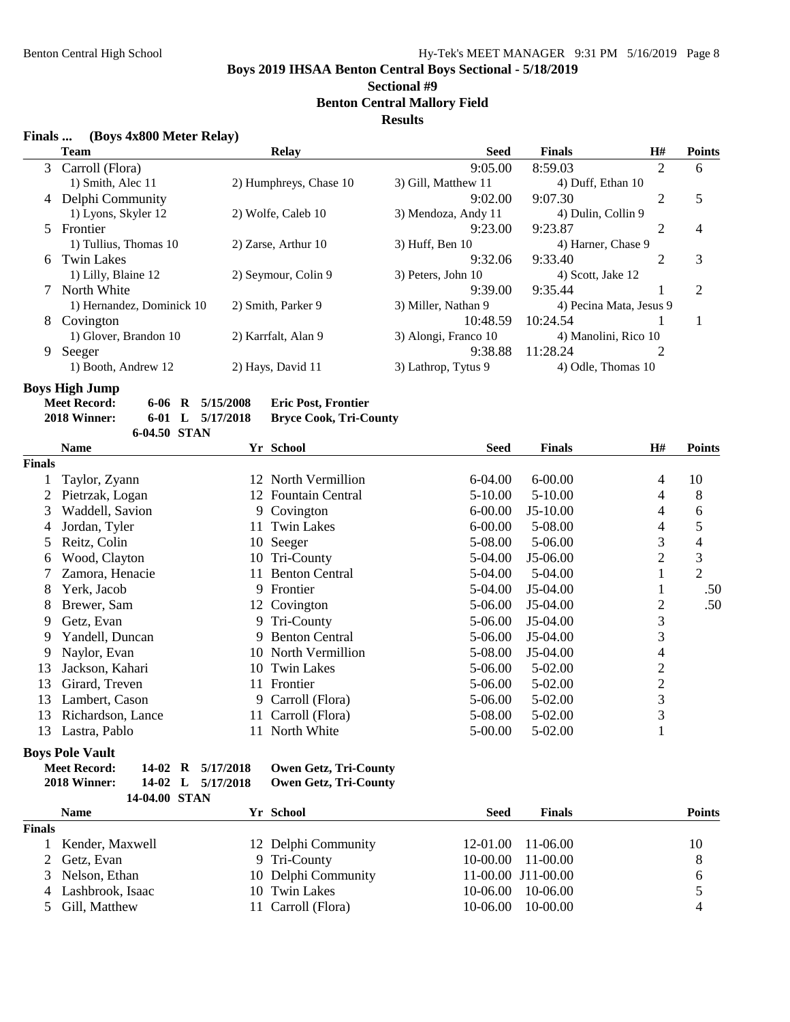**Sectional #9**

**Benton Central Mallory Field**

## **Results**

| Finals |  | (Boys 4x800 Meter Relay) |  |
|--------|--|--------------------------|--|
|        |  |                          |  |

|    | <b>Team</b>               | <b>Relay</b>           | <b>Seed</b>          | <b>Finals</b>           | H#             | <b>Points</b>  |
|----|---------------------------|------------------------|----------------------|-------------------------|----------------|----------------|
|    | 3 Carroll (Flora)         |                        | 9:05.00              | 8:59.03                 | $\overline{2}$ | 6              |
|    | 1) Smith, Alec 11         | 2) Humphreys, Chase 10 | 3) Gill, Matthew 11  | 4) Duff, Ethan 10       |                |                |
|    | 4 Delphi Community        |                        | 9:02.00              | 9:07.30                 | $\overline{2}$ | 5              |
|    | 1) Lyons, Skyler 12       | 2) Wolfe, Caleb 10     | 3) Mendoza, Andy 11  | 4) Dulin, Collin 9      |                |                |
|    | 5 Frontier                |                        | 9:23.00              | 9:23.87                 | $\overline{2}$ | $\overline{4}$ |
|    | 1) Tullius, Thomas 10     | 2) Zarse, Arthur 10    | $3)$ Huff, Ben $10$  | 4) Harner, Chase 9      |                |                |
| 6. | <b>Twin Lakes</b>         |                        | 9:32.06              | 9:33.40                 | 2              | 3              |
|    | 1) Lilly, Blaine 12       | 2) Seymour, Colin 9    | 3) Peters, John 10   | 4) Scott, Jake 12       |                |                |
|    | North White               |                        | 9:39.00              | 9:35.44                 |                | $\overline{2}$ |
|    | 1) Hernandez, Dominick 10 | 2) Smith, Parker 9     | 3) Miller, Nathan 9  | 4) Pecina Mata, Jesus 9 |                |                |
| 8  | Covington                 |                        | 10:48.59             | 10:24.54                |                |                |
|    | 1) Glover, Brandon 10     | 2) Karrfalt, Alan 9    | 3) Alongi, Franco 10 | 4) Manolini, Rico 10    |                |                |
| 9  | Seeger                    |                        | 9:38.88              | 11:28.24                |                |                |
|    | 1) Booth, Andrew 12       | 2) Hays, David 11      | 3) Lathrop, Tytus 9  | 4) Odle, Thomas 10      |                |                |
|    |                           |                        |                      |                         |                |                |

**Boys High Jump**

| <b>Meet Record:</b> |              | $6-06$ R $5/15/2008$ | <b>Eric Post, Frontier</b>    |
|---------------------|--------------|----------------------|-------------------------------|
| 2018 Winner:        |              | 6-01 L $5/17/2018$   | <b>Bryce Cook, Tri-County</b> |
|                     | 6-04.50 STAN |                      |                               |

|               | <b>Name</b>       |     | Yr School             | <b>Seed</b> | <b>Finals</b> | <b>H#</b>      | <b>Points</b>  |
|---------------|-------------------|-----|-----------------------|-------------|---------------|----------------|----------------|
| <b>Finals</b> |                   |     |                       |             |               |                |                |
|               | Taylor, Zyann     |     | 12 North Vermillion   | 6-04.00     | $6 - 00.00$   | 4              | 10             |
|               | Pietrzak, Logan   |     | 12 Fountain Central   | 5-10.00     | $5 - 10.00$   | 4              | 8              |
| 3             | Waddell, Savion   |     | 9 Covington           | $6 - 00.00$ | $J5-10.00$    | 4              | 6              |
| 4             | Jordan, Tyler     | 11  | <b>Twin Lakes</b>     | $6 - 00.00$ | 5-08.00       | 4              | 5              |
| 5             | Reitz, Colin      |     | 10 Seeger             | 5-08.00     | 5-06.00       | 3              | 4              |
| 6             | Wood, Clayton     |     | 10 Tri-County         | 5-04.00     | J5-06.00      | 2              | 3              |
|               | Zamora, Henacie   | 11  | <b>Benton Central</b> | 5-04.00     | 5-04.00       |                | $\overline{2}$ |
| 8             | Yerk, Jacob       | 9.  | Frontier              | 5-04.00     | J5-04.00      |                | .50            |
| 8             | Brewer, Sam       |     | 12 Covington          | 5-06.00     | J5-04.00      | 2              | .50            |
| 9             | Getz, Evan        |     | 9 Tri-County          | 5-06.00     | $J5-04.00$    | 3              |                |
| 9             | Yandell, Duncan   | 9   | <b>Benton Central</b> | 5-06.00     | $J5-04.00$    | 3              |                |
| 9             | Naylor, Evan      |     | 10 North Vermillion   | 5-08.00     | J5-04.00      | 4              |                |
| 13            | Jackson, Kahari   | 10  | <b>Twin Lakes</b>     | 5-06.00     | 5-02.00       | 2              |                |
| 13            | Girard, Treven    | 11. | Frontier              | 5-06.00     | 5-02.00       | $\overline{c}$ |                |
| 13            | Lambert, Cason    |     | 9 Carroll (Flora)     | 5-06.00     | 5-02.00       | 3              |                |
| 13            | Richardson, Lance | 11- | Carroll (Flora)       | 5-08.00     | 5-02.00       | 3              |                |
| 13            | Lastra, Pablo     |     | 11 North White        | 5-00.00     | 5-02.00       |                |                |

#### **Boys Pole Vault**

| <b>Meet Record:</b> |               | 14-02 R 5/17/2018 | <b>Owen Getz, Tri-County</b> |
|---------------------|---------------|-------------------|------------------------------|
| 2018 Winner:        |               | 14-02 L 5/17/2018 | <b>Owen Getz, Tri-County</b> |
|                     | 14-04.00 STAN |                   |                              |

|               | <b>Name</b>        | Yr School           | Seed     | <b>Finals</b>         | <b>Points</b> |
|---------------|--------------------|---------------------|----------|-----------------------|---------------|
| <b>Finals</b> |                    |                     |          |                       |               |
|               | Kender, Maxwell    | 12 Delphi Community |          | $12-01.00$ $11-06.00$ | 10            |
|               | 2 Getz, Evan       | 9 Tri-County        |          | $10-00.00$ $11-00.00$ | 8             |
|               | 3 Nelson, Ethan    | 10 Delphi Community |          | 11-00.00 J11-00.00    | b             |
|               | 4 Lashbrook, Isaac | 10 Twin Lakes       | 10-06.00 | 10-06.00              |               |
|               | 5 Gill, Matthew    | 11 Carroll (Flora)  | 10-06.00 | $10-00.00$            |               |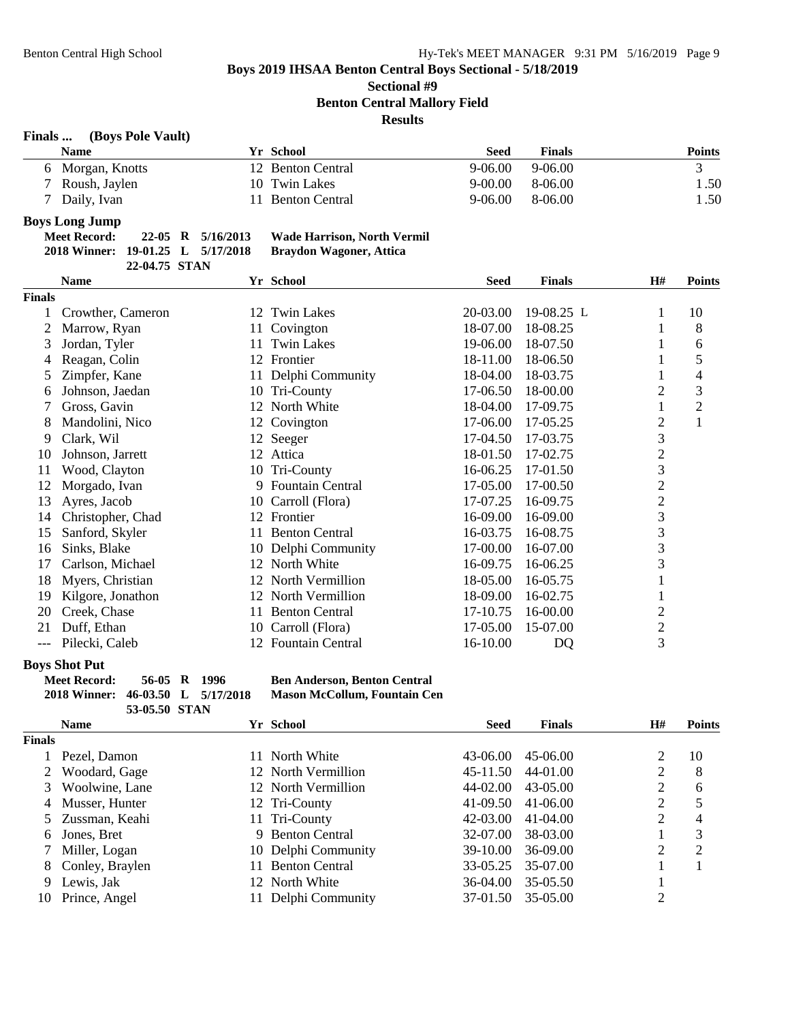**Sectional #9**

**Benton Central Mallory Field**

**Results**

| Finals | (Boys Pole Vault) |  |
|--------|-------------------|--|
|--------|-------------------|--|

|                          | Name             | Yr School         | Seed        | <b>Finals</b> | Points |
|--------------------------|------------------|-------------------|-------------|---------------|--------|
|                          | 6 Morgan, Knotts | 12 Benton Central | 9-06.00     | $9-06.00$     |        |
|                          | 7 Roush, Jaylen  | 10 Twin Lakes     | $9 - 00.00$ | 8-06.00       | .50    |
|                          | 7 Daily, Ivan    | Benton Central    | $9-06.00$   | 8-06.00       | l .50  |
| $\overline{\phantom{a}}$ |                  |                   |             |               |        |

#### **Boys Long Jump**

| Meet Record:                      |  | 22-05 R 5/16/2013 | <b>Wade Harrison, North Vermil</b> |
|-----------------------------------|--|-------------------|------------------------------------|
| 2018 Winner: 19-01.25 L 5/17/2018 |  |                   | <b>Braydon Wagoner, Attica</b>     |

**22-04.75 STAN**

|               | <b>Name</b>       |    | Yr School               | <b>Seed</b> | <b>Finals</b> | H#             | <b>Points</b>  |
|---------------|-------------------|----|-------------------------|-------------|---------------|----------------|----------------|
| <b>Finals</b> |                   |    |                         |             |               |                |                |
|               | Crowther, Cameron | 12 | <b>Twin Lakes</b>       | 20-03.00    | 19-08.25 L    |                | 10             |
| 2             | Marrow, Ryan      | 11 | Covington               | 18-07.00    | 18-08.25      | 1              | 8              |
| 3             | Jordan, Tyler     | 11 | <b>Twin Lakes</b>       | 19-06.00    | 18-07.50      |                | 6              |
| 4             | Reagan, Colin     | 12 | Frontier                | 18-11.00    | 18-06.50      |                | 5              |
|               | Zimpfer, Kane     |    | Delphi Community        | 18-04.00    | 18-03.75      |                | 4              |
| 6             | Johnson, Jaedan   |    | 10 Tri-County           | 17-06.50    | 18-00.00      | $\overline{c}$ | 3              |
|               | Gross, Gavin      | 12 | North White             | 18-04.00    | 17-09.75      |                | $\overline{2}$ |
| 8             | Mandolini, Nico   | 12 | Covington               | 17-06.00    | 17-05.25      | 2              | $\mathbf{1}$   |
| 9             | Clark, Wil        |    | 12 Seeger               | 17-04.50    | 17-03.75      | 3              |                |
| 10            | Johnson, Jarrett  |    | 12 Attica               | 18-01.50    | 17-02.75      | 2              |                |
| 11            | Wood, Clayton     | 10 | Tri-County              | 16-06.25    | 17-01.50      | 3              |                |
| 12            | Morgado, Ivan     | 9  | <b>Fountain Central</b> | 17-05.00    | 17-00.50      | $\overline{2}$ |                |
| 13            | Ayres, Jacob      | 10 | Carroll (Flora)         | 17-07.25    | 16-09.75      | $\overline{2}$ |                |
| 14            | Christopher, Chad | 12 | Frontier                | 16-09.00    | 16-09.00      | 3              |                |
| 15            | Sanford, Skyler   | 11 | <b>Benton Central</b>   | 16-03.75    | 16-08.75      | 3              |                |
| 16            | Sinks, Blake      | 10 | Delphi Community        | 17-00.00    | 16-07.00      | 3              |                |
| 17            | Carlson, Michael  |    | 12 North White          | 16-09.75    | 16-06.25      | 3              |                |
| 18            | Myers, Christian  | 12 | North Vermillion        | 18-05.00    | 16-05.75      |                |                |
| 19            | Kilgore, Jonathon | 12 | North Vermillion        | 18-09.00    | 16-02.75      |                |                |
| 20            | Creek, Chase      | 11 | <b>Benton Central</b>   | 17-10.75    | 16-00.00      | 2              |                |
| 21            | Duff, Ethan       | 10 | Carroll (Flora)         | 17-05.00    | 15-07.00      | $\overline{c}$ |                |
| ---           | Pilecki, Caleb    | 12 | <b>Fountain Central</b> | 16-10.00    | DQ            | 3              |                |

#### **Boys Shot Put**

**Meet Record: 56-05 R 1996 Ben Anderson, Benton Central 2018 Winner: 46-03.50 L 5/17/2018 Mason McCollum, Fountain Cen 53-05.50 STAN**

|               | <b>Name</b>       |     | Yr School             | <b>Seed</b> | <b>Finals</b> | H#             | <b>Points</b>  |
|---------------|-------------------|-----|-----------------------|-------------|---------------|----------------|----------------|
| <b>Finals</b> |                   |     |                       |             |               |                |                |
|               | Pezel, Damon      | 11  | North White           | 43-06.00    | 45-06.00      |                | 10             |
|               | Woodard, Gage     |     | 12 North Vermillion   | 45-11.50    | 44-01.00      | 2              | 8              |
|               | Woolwine, Lane    |     | 12 North Vermillion   | 44-02.00    | 43-05.00      | $\overline{2}$ | 6              |
|               | 4 Musser, Hunter  |     | 12 Tri-County         | 41-09.50    | 41-06.00      | 2              |                |
|               | 5 Zussman, Keahi  |     | 11 Tri-County         | 42-03.00    | 41-04.00      | $\overline{2}$ | 4              |
| 6             | Jones, Bret       |     | 9 Benton Central      | 32-07.00    | 38-03.00      |                | 3              |
|               | Miller, Logan     |     | 10 Delphi Community   | 39-10.00    | 36-09.00      | 2              | $\overline{2}$ |
|               | 8 Conley, Braylen | 11. | <b>Benton Central</b> | 33-05.25    | 35-07.00      |                |                |
| 9             | Lewis, Jak        |     | 12 North White        | 36-04.00    | 35-05.50      |                |                |
| 10            | Prince, Angel     |     | Delphi Community      | 37-01.50    | 35-05.00      | C              |                |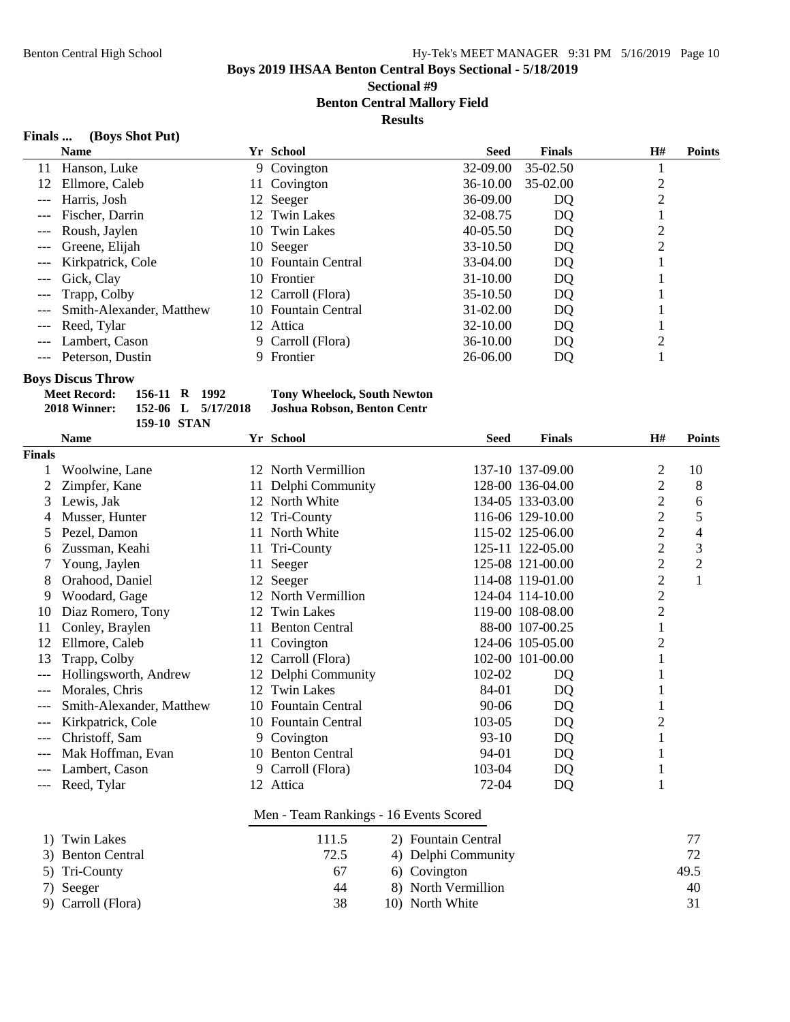# **Sectional #9**

**Benton Central Mallory Field**

**Results**

# **Finals ... (Boys Shot Put)**

| <b>Name</b>              |              |          | <b>Seed</b>                                                                                                                                                                                                                            | <b>Finals</b> | H#             | <b>Points</b> |
|--------------------------|--------------|----------|----------------------------------------------------------------------------------------------------------------------------------------------------------------------------------------------------------------------------------------|---------------|----------------|---------------|
| Hanson, Luke             |              |          | $32-09.00$                                                                                                                                                                                                                             | 35-02.50      |                |               |
| Ellmore, Caleb           |              |          | 36-10.00                                                                                                                                                                                                                               | 35-02.00      |                |               |
| Harris, Josh             |              |          | 36-09.00                                                                                                                                                                                                                               | DQ            |                |               |
| Fischer, Darrin          |              |          | 32-08.75                                                                                                                                                                                                                               | DQ            |                |               |
| Roush, Jaylen            |              |          | 40-05.50                                                                                                                                                                                                                               | DQ            |                |               |
| Greene, Elijah           |              |          | 33-10.50                                                                                                                                                                                                                               | DQ            | $\overline{2}$ |               |
| Kirkpatrick, Cole        |              |          | 33-04.00                                                                                                                                                                                                                               | DQ            |                |               |
| Gick, Clay               |              |          | 31-10.00                                                                                                                                                                                                                               | DQ            |                |               |
|                          |              |          | 35-10.50                                                                                                                                                                                                                               | DQ            |                |               |
| Smith-Alexander, Matthew |              |          | 31-02.00                                                                                                                                                                                                                               | DQ            |                |               |
| Reed, Tylar              |              |          | 32-10.00                                                                                                                                                                                                                               | DQ            |                |               |
| Lambert, Cason           |              |          | 36-10.00                                                                                                                                                                                                                               | DQ            | ി              |               |
| Peterson, Dustin         |              | Frontier | 26-06.00                                                                                                                                                                                                                               | DQ            |                |               |
|                          | Trapp, Colby |          | <b>Yr School</b><br>9 Covington<br>11 Covington<br>12 Seeger<br>12 Twin Lakes<br>10 Twin Lakes<br>10 Seeger<br>10 Fountain Central<br>10 Frontier<br>12 Carroll (Flora)<br>10 Fountain Central<br>12 Attica<br>9 Carroll (Flora)<br>9. |               |                |               |

#### **Boys Discus Throw**

| Meet Record: | 156-11 R 1992 |                    | <b>Tony Wheelock, South Newton</b> |
|--------------|---------------|--------------------|------------------------------------|
| 2018 Winner: |               | 152-06 L 5/17/2018 | Joshua Robson, Benton Centr        |
|              | 159-10 STAN   |                    |                                    |

|               | <b>Name</b>              |    | Yr School                              | <b>Seed</b>         | <b>Finals</b>    | H#             | <b>Points</b>  |
|---------------|--------------------------|----|----------------------------------------|---------------------|------------------|----------------|----------------|
| <b>Finals</b> |                          |    |                                        |                     |                  |                |                |
|               | Woolwine, Lane           |    | 12 North Vermillion                    |                     | 137-10 137-09.00 | $\overline{c}$ | 10             |
|               | Zimpfer, Kane            | 11 | Delphi Community                       |                     | 128-00 136-04.00 | $\overline{2}$ | 8              |
| 3             | Lewis, Jak               |    | 12 North White                         |                     | 134-05 133-03.00 | $\overline{2}$ | 6              |
| 4             | Musser, Hunter           |    | 12 Tri-County                          |                     | 116-06 129-10.00 | $\overline{2}$ | 5              |
| 5             | Pezel, Damon             | 11 | North White                            |                     | 115-02 125-06.00 | $\mathbf{2}$   | 4              |
| 6             | Zussman, Keahi           |    | 11 Tri-County                          |                     | 125-11 122-05.00 | $\mathbf{2}$   | 3              |
| 7             | Young, Jaylen            | 11 | Seeger                                 |                     | 125-08 121-00.00 | $\overline{c}$ | $\overline{c}$ |
| 8             | Orahood, Daniel          | 12 | Seeger                                 |                     | 114-08 119-01.00 | $\overline{c}$ | $\mathbf{1}$   |
| 9             | Woodard, Gage            |    | 12 North Vermillion                    |                     | 124-04 114-10.00 | $\overline{2}$ |                |
| 10            | Diaz Romero, Tony        | 12 | <b>Twin Lakes</b>                      |                     | 119-00 108-08.00 | $\sqrt{2}$     |                |
| 11            | Conley, Braylen          | 11 | <b>Benton Central</b>                  |                     | 88-00 107-00.25  | $\mathbf{1}$   |                |
| 12            | Ellmore, Caleb           | 11 | Covington                              |                     | 124-06 105-05.00 | $\overline{c}$ |                |
| 13            | Trapp, Colby             | 12 | Carroll (Flora)                        |                     | 102-00 101-00.00 | 1              |                |
| $---$         | Hollingsworth, Andrew    | 12 | Delphi Community                       | 102-02              | DQ               | 1              |                |
| $---$         | Morales, Chris           | 12 | <b>Twin Lakes</b>                      | 84-01               | DQ               | 1              |                |
| $---$         | Smith-Alexander, Matthew | 10 | <b>Fountain Central</b>                | $90 - 06$           | DQ               | 1              |                |
| $---$         | Kirkpatrick, Cole        |    | 10 Fountain Central                    | 103-05              | DQ               | $\overline{c}$ |                |
| $---$         | Christoff, Sam           | 9  | Covington                              | $93-10$             | DQ               | 1              |                |
| $---$         | Mak Hoffman, Evan        |    | 10 Benton Central                      | 94-01               | DQ               | 1              |                |
| ---           | Lambert, Cason           | 9  | Carroll (Flora)                        | 103-04              | DQ               | 1              |                |
| ---           | Reed, Tylar              |    | 12 Attica                              | 72-04               | DQ               | 1              |                |
|               |                          |    | Men - Team Rankings - 16 Events Scored |                     |                  |                |                |
| 1)            | <b>Twin Lakes</b>        |    | 111.5                                  | 2) Fountain Central |                  |                | 77             |
| 3)            | <b>Benton Central</b>    |    | 72.5                                   | 4) Delphi Community |                  |                | 72             |
| 5)            | Tri-County               |    | 67                                     | 6) Covington        |                  |                | 49.5           |
| 7)            | Seeger                   |    | 44                                     | 8) North Vermillion |                  |                | 40             |
| 9)            | Carroll (Flora)          |    | 38                                     | 10) North White     |                  |                | 31             |